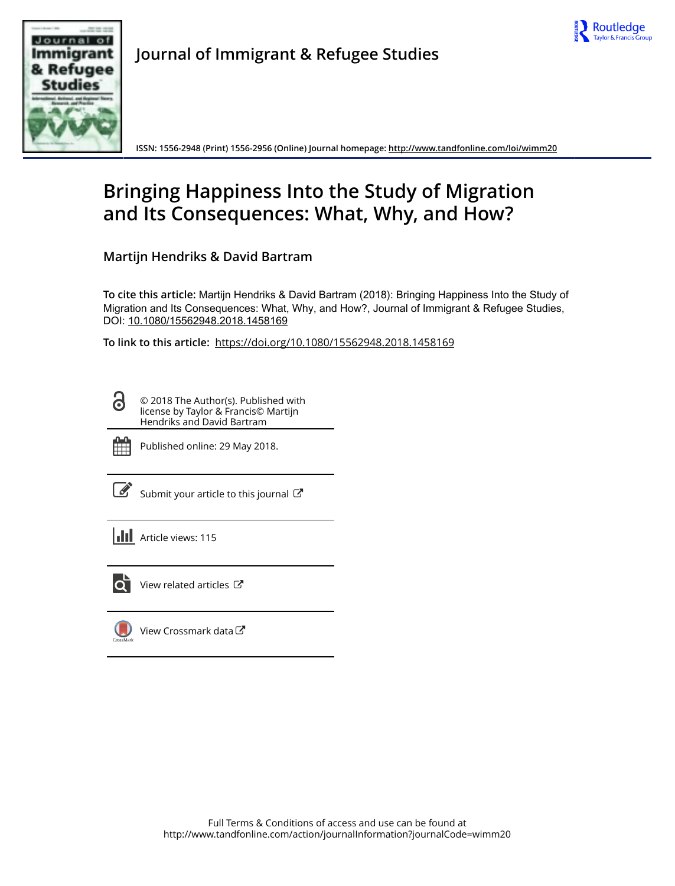



**Journal of Immigrant & Refugee Studies**

**ISSN: 1556-2948 (Print) 1556-2956 (Online) Journal homepage:<http://www.tandfonline.com/loi/wimm20>**

# **Bringing Happiness Into the Study of Migration and Its Consequences: What, Why, and How?**

**Martijn Hendriks & David Bartram**

**To cite this article:** Martijn Hendriks & David Bartram (2018): Bringing Happiness Into the Study of Migration and Its Consequences: What, Why, and How?, Journal of Immigrant & Refugee Studies, DOI: [10.1080/15562948.2018.1458169](http://www.tandfonline.com/action/showCitFormats?doi=10.1080/15562948.2018.1458169)

**To link to this article:** <https://doi.org/10.1080/15562948.2018.1458169>

© 2018 The Author(s). Published with license by Taylor & Francis© Martijn Hendriks and David Bartram



<u>යි</u>

Published online: 29 May 2018.

[Submit your article to this journal](http://www.tandfonline.com/action/authorSubmission?journalCode=wimm20&show=instructions)  $\mathbb{Z}$ 

**III** Article views: 115



[View related articles](http://www.tandfonline.com/doi/mlt/10.1080/15562948.2018.1458169)  $\mathbb{Z}$ 

[View Crossmark data](http://crossmark.crossref.org/dialog/?doi=10.1080/15562948.2018.1458169&domain=pdf&date_stamp=2018-05-29) $\mathbb{Z}$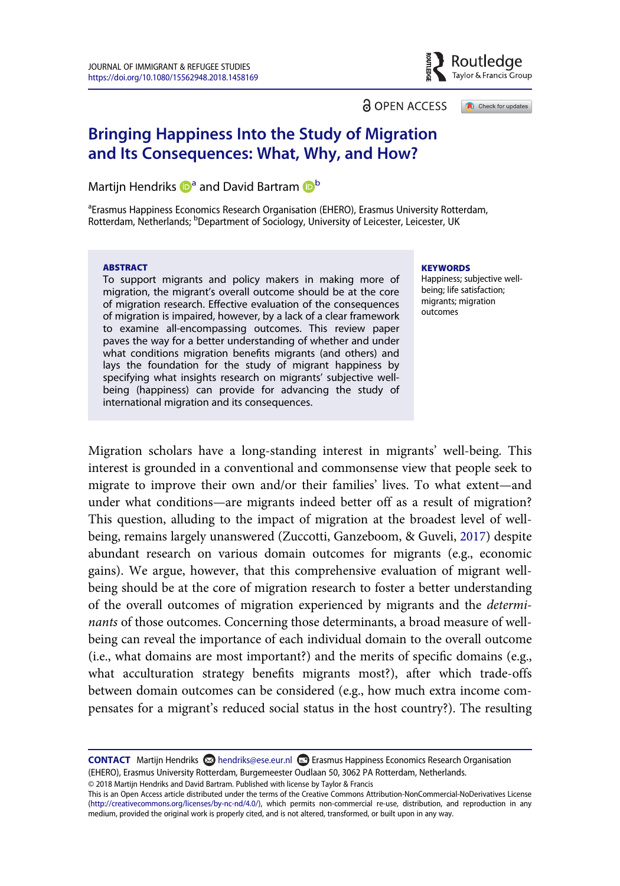**a** OPEN ACCESS **a** Check for updates

Routledge Taylor & Francis Group

## Bringing Happiness Into the Study of Migration and Its Consequences: What, Why, and How?

Martijn Hendrik[s](#page-18-0) **D**<sup>[a](#page-1-0)</sup> and David Bartra[m](#page-18-1) D<sup>[b](#page-1-1)</sup>

<span id="page-1-1"></span><span id="page-1-0"></span><sup>a</sup>Erasmus Happiness Economics Research Organisation (EHERO), Erasmus University Rotterdam, Rotterdam, Netherlands; <sup>b</sup>Department of Sociology, University of Leicester, Leicester, UK

#### ABSTRACT

To support migrants and policy makers in making more of migration, the migrant's overall outcome should be at the core of migration research. Effective evaluation of the consequences of migration is impaired, however, by a lack of a clear framework to examine all-encompassing outcomes. This review paper paves the way for a better understanding of whether and under what conditions migration benefits migrants (and others) and lays the foundation for the study of migrant happiness by specifying what insights research on migrants' subjective wellbeing (happiness) can provide for advancing the study of international migration and its consequences.

**KEYWORDS** 

Happiness; subjective wellbeing; life satisfaction; migrants; migration outcomes

<span id="page-1-2"></span>Migration scholars have a long-standing interest in migrants' well-being. This interest is grounded in a conventional and commonsense view that people seek to migrate to improve their own and/or their families' lives. To what extent—and under what conditions—are migrants indeed better off as a result of migration? This question, alluding to the impact of migration at the broadest level of wellbeing, remains largely unanswered (Zuccotti, Ganzeboom, & Guveli, [2017\)](#page-20-0) despite abundant research on various domain outcomes for migrants (e.g., economic gains). We argue, however, that this comprehensive evaluation of migrant wellbeing should be at the core of migration research to foster a better understanding of the overall outcomes of migration experienced by migrants and the determinants of those outcomes. Concerning those determinants, a broad measure of wellbeing can reveal the importance of each individual domain to the overall outcome (i.e., what domains are most important?) and the merits of specific domains (e.g., what acculturation strategy benefits migrants most?), after which trade-offs between domain outcomes can be considered (e.g., how much extra income compensates for a migrant's reduced social status in the host country?). The resulting

CONTACT Martijn Hendriks **۞** [hendriks@ese.eur.nl](mailto:hendriks@ese.eur.nl) **■** Erasmus Happiness Economics Research Organisation (EHERO), Erasmus University Rotterdam, Burgemeester Oudlaan 50, 3062 PA Rotterdam, Netherlands.

© 2018 Martijn Hendriks and David Bartram. Published with license by Taylor & Francis

This is an Open Access article distributed under the terms of the Creative Commons Attribution-NonCommercial-NoDerivatives License (<http://creativecommons.org/licenses/by-nc-nd/4.0/>), which permits non-commercial re-use, distribution, and reproduction in any medium, provided the original work is properly cited, and is not altered, transformed, or built upon in any way.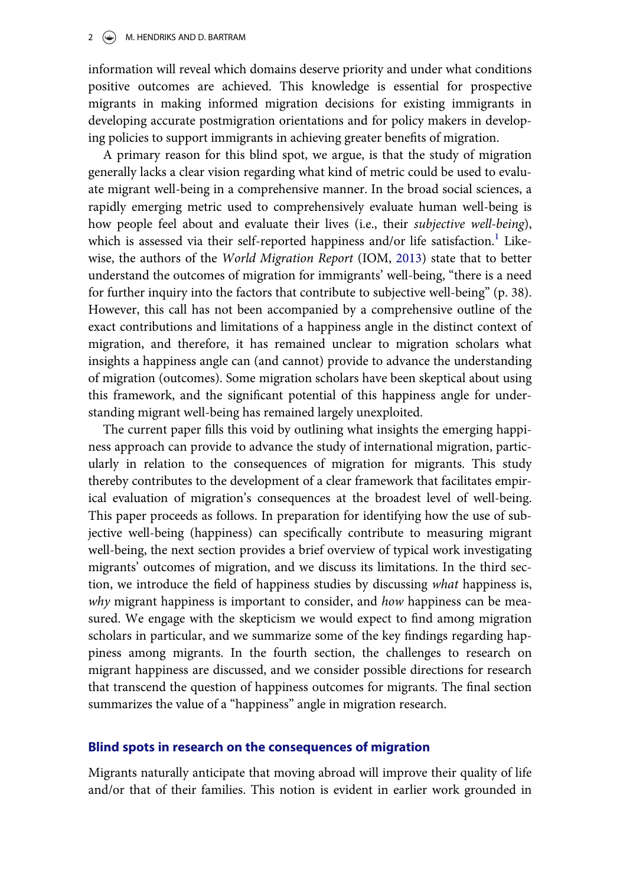#### 2  $\left(\frac{1}{2}\right)$  M. HENDRIKS AND D. BARTRAM

information will reveal which domains deserve priority and under what conditions positive outcomes are achieved. This knowledge is essential for prospective migrants in making informed migration decisions for existing immigrants in developing accurate postmigration orientations and for policy makers in developing policies to support immigrants in achieving greater benefits of migration.

<span id="page-2-0"></span>A primary reason for this blind spot, we argue, is that the study of migration generally lacks a clear vision regarding what kind of metric could be used to evaluate migrant well-being in a comprehensive manner. In the broad social sciences, a rapidly emerging metric used to comprehensively evaluate human well-being is how people feel about and evaluate their lives (i.e., their subjective well-being), which is assessed via their self-reported happiness and/or life satisfaction.<sup>[1](#page-18-2)</sup> Likewise, the authors of the World Migration Report (IOM, [2013\)](#page-19-0) state that to better understand the outcomes of migration for immigrants' well-being, "there is a need for further inquiry into the factors that contribute to subjective well-being" (p. 38). However, this call has not been accompanied by a comprehensive outline of the exact contributions and limitations of a happiness angle in the distinct context of migration, and therefore, it has remained unclear to migration scholars what insights a happiness angle can (and cannot) provide to advance the understanding of migration (outcomes). Some migration scholars have been skeptical about using this framework, and the significant potential of this happiness angle for understanding migrant well-being has remained largely unexploited.

The current paper fills this void by outlining what insights the emerging happiness approach can provide to advance the study of international migration, particularly in relation to the consequences of migration for migrants. This study thereby contributes to the development of a clear framework that facilitates empirical evaluation of migration's consequences at the broadest level of well-being. This paper proceeds as follows. In preparation for identifying how the use of subjective well-being (happiness) can specifically contribute to measuring migrant well-being, the next section provides a brief overview of typical work investigating migrants' outcomes of migration, and we discuss its limitations. In the third section, we introduce the field of happiness studies by discussing what happiness is, why migrant happiness is important to consider, and how happiness can be measured. We engage with the skepticism we would expect to find among migration scholars in particular, and we summarize some of the key findings regarding happiness among migrants. In the fourth section, the challenges to research on migrant happiness are discussed, and we consider possible directions for research that transcend the question of happiness outcomes for migrants. The final section summarizes the value of a "happiness" angle in migration research.

#### Blind spots in research on the consequences of migration

Migrants naturally anticipate that moving abroad will improve their quality of life and/or that of their families. This notion is evident in earlier work grounded in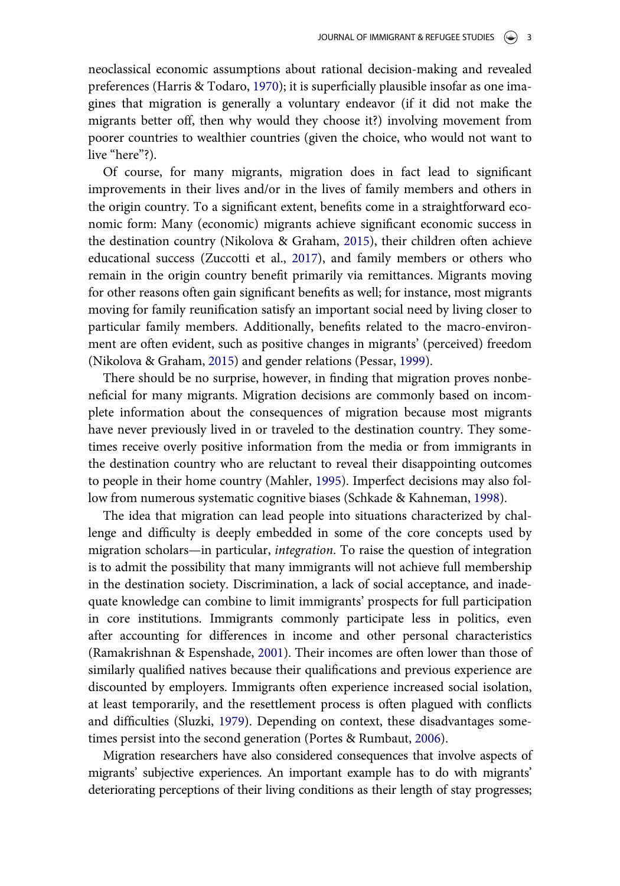<span id="page-3-0"></span>neoclassical economic assumptions about rational decision-making and revealed preferences (Harris & Todaro, [1970](#page-19-1)); it is superficially plausible insofar as one imagines that migration is generally a voluntary endeavor (if it did not make the migrants better off, then why would they choose it?) involving movement from poorer countries to wealthier countries (given the choice, who would not want to live "here"?).

Of course, for many migrants, migration does in fact lead to significant improvements in their lives and/or in the lives of family members and others in the origin country. To a significant extent, benefits come in a straightforward economic form: Many (economic) migrants achieve significant economic success in the destination country (Nikolova & Graham, [2015](#page-19-2)), their children often achieve educational success (Zuccotti et al., [2017](#page-20-0)), and family members or others who remain in the origin country benefit primarily via remittances. Migrants moving for other reasons often gain significant benefits as well; for instance, most migrants moving for family reunification satisfy an important social need by living closer to particular family members. Additionally, benefits related to the macro-environment are often evident, such as positive changes in migrants' (perceived) freedom (Nikolova & Graham, [2015](#page-19-2)) and gender relations (Pessar, [1999\)](#page-19-3).

<span id="page-3-2"></span>There should be no surprise, however, in finding that migration proves nonbeneficial for many migrants. Migration decisions are commonly based on incomplete information about the consequences of migration because most migrants have never previously lived in or traveled to the destination country. They sometimes receive overly positive information from the media or from immigrants in the destination country who are reluctant to reveal their disappointing outcomes to people in their home country (Mahler, [1995](#page-19-4)). Imperfect decisions may also follow from numerous systematic cognitive biases (Schkade & Kahneman, [1998](#page-20-1)).

<span id="page-3-5"></span><span id="page-3-1"></span>The idea that migration can lead people into situations characterized by challenge and difficulty is deeply embedded in some of the core concepts used by migration scholars—in particular, integration. To raise the question of integration is to admit the possibility that many immigrants will not achieve full membership in the destination society. Discrimination, a lack of social acceptance, and inadequate knowledge can combine to limit immigrants' prospects for full participation in core institutions. Immigrants commonly participate less in politics, even after accounting for differences in income and other personal characteristics (Ramakrishnan & Espenshade, [2001\)](#page-19-5). Their incomes are often lower than those of similarly qualified natives because their qualifications and previous experience are discounted by employers. Immigrants often experience increased social isolation, at least temporarily, and the resettlement process is often plagued with conflicts and difficulties (Sluzki, [1979\)](#page-20-2). Depending on context, these disadvantages sometimes persist into the second generation (Portes & Rumbaut, [2006](#page-19-6)).

<span id="page-3-6"></span><span id="page-3-4"></span><span id="page-3-3"></span>Migration researchers have also considered consequences that involve aspects of migrants' subjective experiences. An important example has to do with migrants' deteriorating perceptions of their living conditions as their length of stay progresses;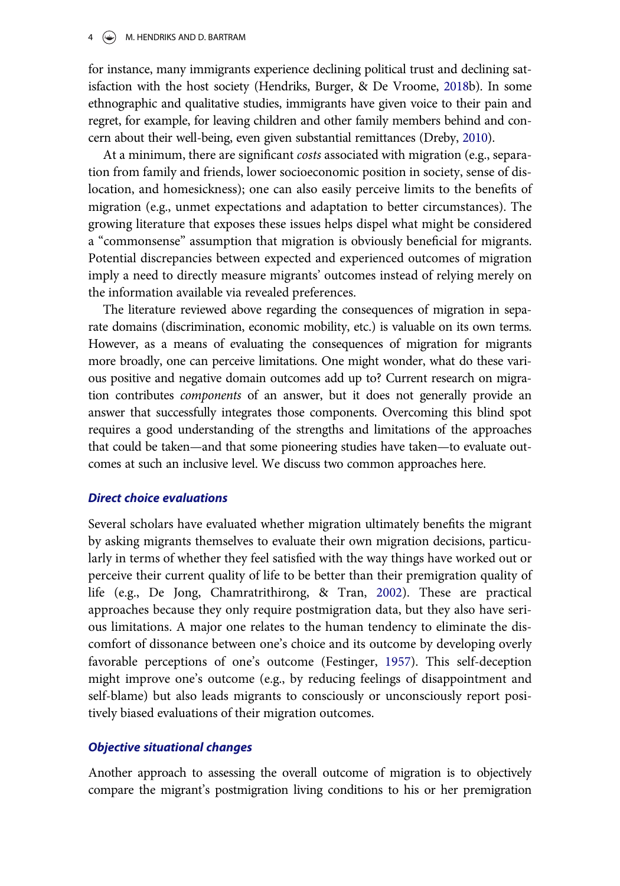#### $4 \quad (*)$  M. HENDRIKS AND D. BARTRAM

<span id="page-4-3"></span>for instance, many immigrants experience declining political trust and declining satisfaction with the host society (Hendriks, Burger, & De Vroome, [2018](#page-19-7)b). In some ethnographic and qualitative studies, immigrants have given voice to their pain and regret, for example, for leaving children and other family members behind and concern about their well-being, even given substantial remittances (Dreby, [2010](#page-19-8)).

<span id="page-4-1"></span>At a minimum, there are significant costs associated with migration (e.g., separation from family and friends, lower socioeconomic position in society, sense of dislocation, and homesickness); one can also easily perceive limits to the benefits of migration (e.g., unmet expectations and adaptation to better circumstances). The growing literature that exposes these issues helps dispel what might be considered a "commonsense" assumption that migration is obviously beneficial for migrants. Potential discrepancies between expected and experienced outcomes of migration imply a need to directly measure migrants' outcomes instead of relying merely on the information available via revealed preferences.

The literature reviewed above regarding the consequences of migration in separate domains (discrimination, economic mobility, etc.) is valuable on its own terms. However, as a means of evaluating the consequences of migration for migrants more broadly, one can perceive limitations. One might wonder, what do these various positive and negative domain outcomes add up to? Current research on migration contributes components of an answer, but it does not generally provide an answer that successfully integrates those components. Overcoming this blind spot requires a good understanding of the strengths and limitations of the approaches that could be taken—and that some pioneering studies have taken—to evaluate outcomes at such an inclusive level. We discuss two common approaches here.

#### Direct choice evaluations

<span id="page-4-0"></span>Several scholars have evaluated whether migration ultimately benefits the migrant by asking migrants themselves to evaluate their own migration decisions, particularly in terms of whether they feel satisfied with the way things have worked out or perceive their current quality of life to be better than their premigration quality of life (e.g., De Jong, Chamratrithirong, & Tran, [2002\)](#page-18-3). These are practical approaches because they only require postmigration data, but they also have serious limitations. A major one relates to the human tendency to eliminate the discomfort of dissonance between one's choice and its outcome by developing overly favorable perceptions of one's outcome (Festinger, [1957\)](#page-19-9). This self-deception might improve one's outcome (e.g., by reducing feelings of disappointment and self-blame) but also leads migrants to consciously or unconsciously report positively biased evaluations of their migration outcomes.

#### <span id="page-4-2"></span>Objective situational changes

Another approach to assessing the overall outcome of migration is to objectively compare the migrant's postmigration living conditions to his or her premigration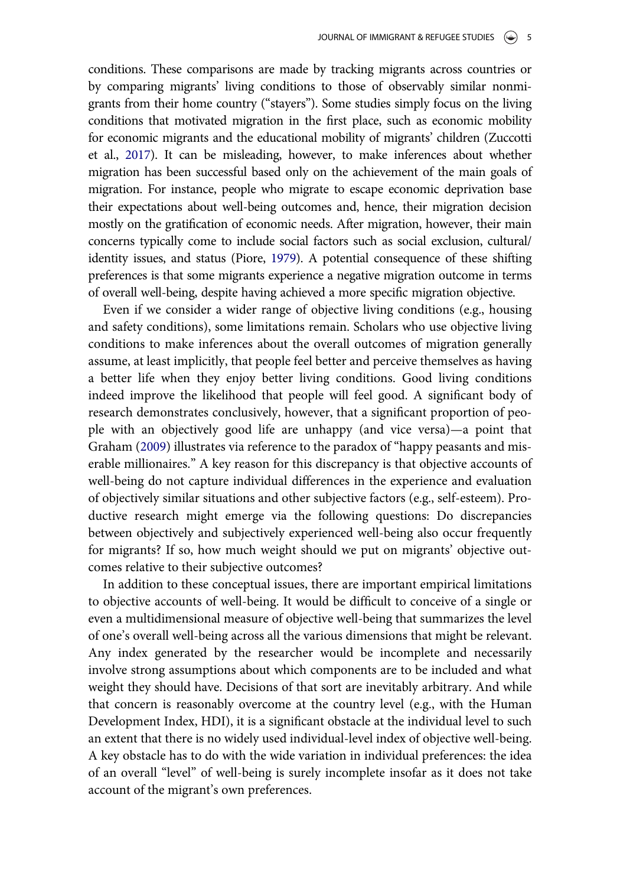conditions. These comparisons are made by tracking migrants across countries or by comparing migrants' living conditions to those of observably similar nonmigrants from their home country ("stayers"). Some studies simply focus on the living conditions that motivated migration in the first place, such as economic mobility for economic migrants and the educational mobility of migrants' children (Zuccotti et al., [2017](#page-20-0)). It can be misleading, however, to make inferences about whether migration has been successful based only on the achievement of the main goals of migration. For instance, people who migrate to escape economic deprivation base their expectations about well-being outcomes and, hence, their migration decision mostly on the gratification of economic needs. After migration, however, their main concerns typically come to include social factors such as social exclusion, cultural/ identity issues, and status (Piore, [1979\)](#page-19-10). A potential consequence of these shifting preferences is that some migrants experience a negative migration outcome in terms of overall well-being, despite having achieved a more specific migration objective.

<span id="page-5-1"></span><span id="page-5-0"></span>Even if we consider a wider range of objective living conditions (e.g., housing and safety conditions), some limitations remain. Scholars who use objective living conditions to make inferences about the overall outcomes of migration generally assume, at least implicitly, that people feel better and perceive themselves as having a better life when they enjoy better living conditions. Good living conditions indeed improve the likelihood that people will feel good. A significant body of research demonstrates conclusively, however, that a significant proportion of people with an objectively good life are unhappy (and vice versa)—a point that Graham [\(2009](#page-19-11)) illustrates via reference to the paradox of "happy peasants and miserable millionaires." A key reason for this discrepancy is that objective accounts of well-being do not capture individual differences in the experience and evaluation of objectively similar situations and other subjective factors (e.g., self-esteem). Productive research might emerge via the following questions: Do discrepancies between objectively and subjectively experienced well-being also occur frequently for migrants? If so, how much weight should we put on migrants' objective outcomes relative to their subjective outcomes?

In addition to these conceptual issues, there are important empirical limitations to objective accounts of well-being. It would be difficult to conceive of a single or even a multidimensional measure of objective well-being that summarizes the level of one's overall well-being across all the various dimensions that might be relevant. Any index generated by the researcher would be incomplete and necessarily involve strong assumptions about which components are to be included and what weight they should have. Decisions of that sort are inevitably arbitrary. And while that concern is reasonably overcome at the country level (e.g., with the Human Development Index, HDI), it is a significant obstacle at the individual level to such an extent that there is no widely used individual-level index of objective well-being. A key obstacle has to do with the wide variation in individual preferences: the idea of an overall "level" of well-being is surely incomplete insofar as it does not take account of the migrant's own preferences.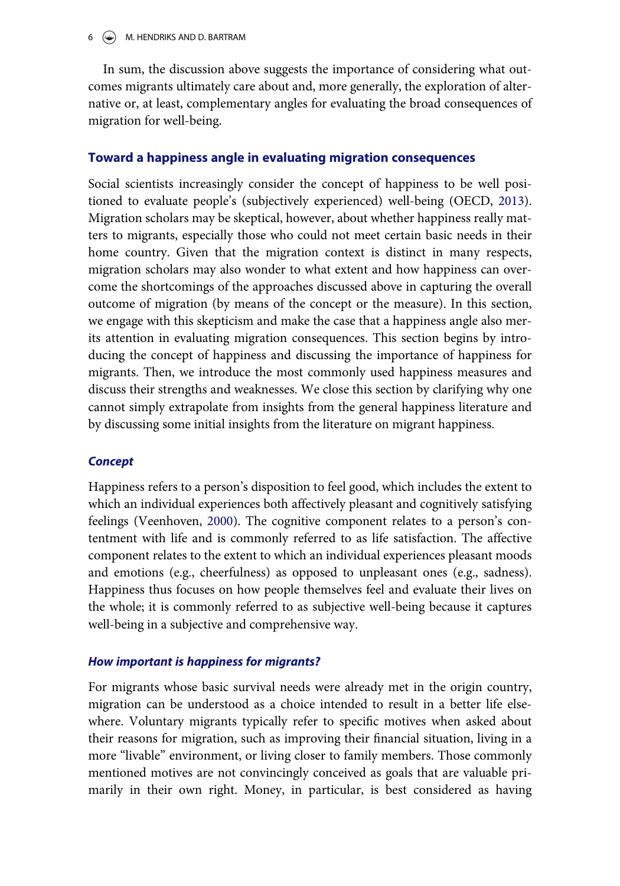$6 \leftrightarrow$  M. HENDRIKS AND D. BARTRAM

In sum, the discussion above suggests the importance of considering what outcomes migrants ultimately care about and, more generally, the exploration of alternative or, at least, complementary angles for evaluating the broad consequences of migration for well-being.

## Toward a happiness angle in evaluating migration consequences

<span id="page-6-0"></span>Social scientists increasingly consider the concept of happiness to be well positioned to evaluate people's (subjectively experienced) well-being (OECD, [2013](#page-19-12)). Migration scholars may be skeptical, however, about whether happiness really matters to migrants, especially those who could not meet certain basic needs in their home country. Given that the migration context is distinct in many respects, migration scholars may also wonder to what extent and how happiness can overcome the shortcomings of the approaches discussed above in capturing the overall outcome of migration (by means of the concept or the measure). In this section, we engage with this skepticism and make the case that a happiness angle also merits attention in evaluating migration consequences. This section begins by introducing the concept of happiness and discussing the importance of happiness for migrants. Then, we introduce the most commonly used happiness measures and discuss their strengths and weaknesses. We close this section by clarifying why one cannot simply extrapolate from insights from the general happiness literature and by discussing some initial insights from the literature on migrant happiness.

#### **Concept**

<span id="page-6-1"></span>Happiness refers to a person's disposition to feel good, which includes the extent to which an individual experiences both affectively pleasant and cognitively satisfying feelings (Veenhoven, [2000](#page-20-3)). The cognitive component relates to a person's contentment with life and is commonly referred to as life satisfaction. The affective component relates to the extent to which an individual experiences pleasant moods and emotions (e.g., cheerfulness) as opposed to unpleasant ones (e.g., sadness). Happiness thus focuses on how people themselves feel and evaluate their lives on the whole; it is commonly referred to as subjective well-being because it captures well-being in a subjective and comprehensive way.

#### How important is happiness for migrants?

For migrants whose basic survival needs were already met in the origin country, migration can be understood as a choice intended to result in a better life elsewhere. Voluntary migrants typically refer to specific motives when asked about their reasons for migration, such as improving their financial situation, living in a more "livable" environment, or living closer to family members. Those commonly mentioned motives are not convincingly conceived as goals that are valuable primarily in their own right. Money, in particular, is best considered as having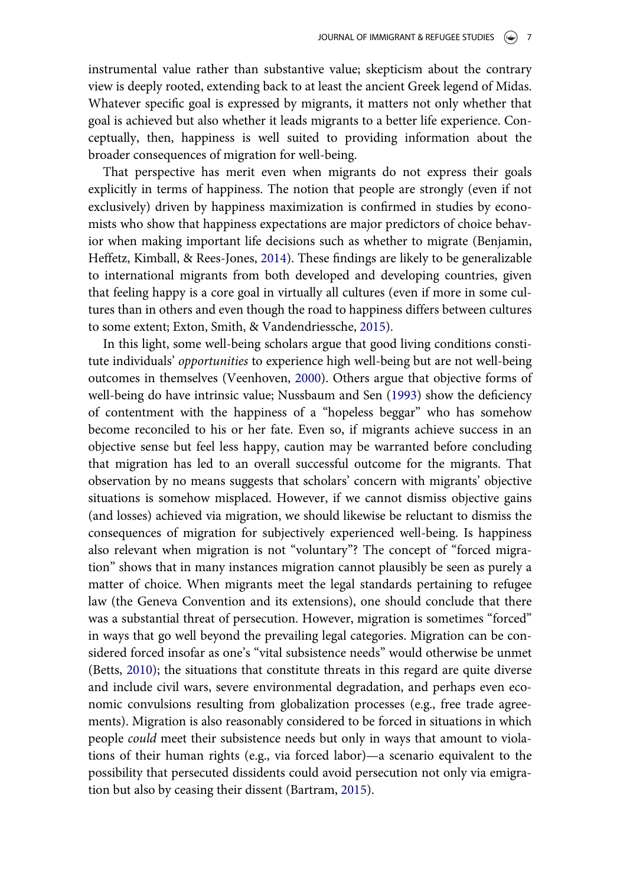instrumental value rather than substantive value; skepticism about the contrary view is deeply rooted, extending back to at least the ancient Greek legend of Midas. Whatever specific goal is expressed by migrants, it matters not only whether that goal is achieved but also whether it leads migrants to a better life experience. Conceptually, then, happiness is well suited to providing information about the broader consequences of migration for well-being.

<span id="page-7-1"></span>That perspective has merit even when migrants do not express their goals explicitly in terms of happiness. The notion that people are strongly (even if not exclusively) driven by happiness maximization is confirmed in studies by economists who show that happiness expectations are major predictors of choice behavior when making important life decisions such as whether to migrate (Benjamin, Heffetz, Kimball, & Rees-Jones, [2014\)](#page-18-4). These findings are likely to be generalizable to international migrants from both developed and developing countries, given that feeling happy is a core goal in virtually all cultures (even if more in some cultures than in others and even though the road to happiness differs between cultures to some extent; Exton, Smith, & Vandendriessche, [2015](#page-19-13)).

<span id="page-7-4"></span><span id="page-7-3"></span><span id="page-7-2"></span><span id="page-7-0"></span>In this light, some well-being scholars argue that good living conditions constitute individuals' opportunities to experience high well-being but are not well-being outcomes in themselves (Veenhoven, [2000\)](#page-20-3). Others argue that objective forms of well-being do have intrinsic value; Nussbaum and Sen ([1993\)](#page-19-14) show the deficiency of contentment with the happiness of a "hopeless beggar" who has somehow become reconciled to his or her fate. Even so, if migrants achieve success in an objective sense but feel less happy, caution may be warranted before concluding that migration has led to an overall successful outcome for the migrants. That observation by no means suggests that scholars' concern with migrants' objective situations is somehow misplaced. However, if we cannot dismiss objective gains (and losses) achieved via migration, we should likewise be reluctant to dismiss the consequences of migration for subjectively experienced well-being. Is happiness also relevant when migration is not "voluntary"? The concept of "forced migration" shows that in many instances migration cannot plausibly be seen as purely a matter of choice. When migrants meet the legal standards pertaining to refugee law (the Geneva Convention and its extensions), one should conclude that there was a substantial threat of persecution. However, migration is sometimes "forced" in ways that go well beyond the prevailing legal categories. Migration can be considered forced insofar as one's "vital subsistence needs" would otherwise be unmet (Betts, [2010\)](#page-18-5); the situations that constitute threats in this regard are quite diverse and include civil wars, severe environmental degradation, and perhaps even economic convulsions resulting from globalization processes (e.g., free trade agreements). Migration is also reasonably considered to be forced in situations in which people could meet their subsistence needs but only in ways that amount to violations of their human rights (e.g., via forced labor)—a scenario equivalent to the possibility that persecuted dissidents could avoid persecution not only via emigration but also by ceasing their dissent (Bartram, [2015](#page-18-6)).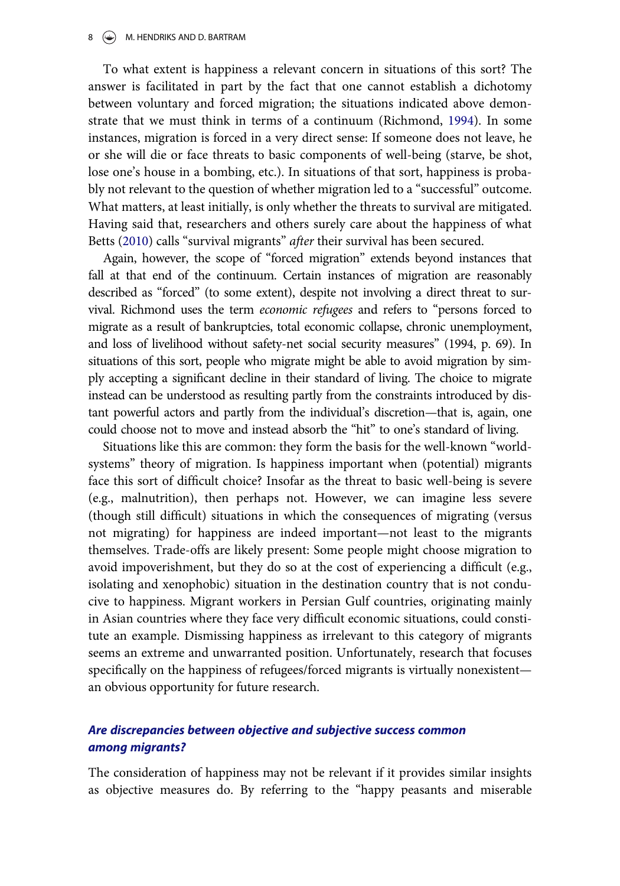#### 8  $\leftrightarrow$  M. HENDRIKS AND D. BARTRAM

<span id="page-8-0"></span>To what extent is happiness a relevant concern in situations of this sort? The answer is facilitated in part by the fact that one cannot establish a dichotomy between voluntary and forced migration; the situations indicated above demonstrate that we must think in terms of a continuum (Richmond, [1994](#page-19-15)). In some instances, migration is forced in a very direct sense: If someone does not leave, he or she will die or face threats to basic components of well-being (starve, be shot, lose one's house in a bombing, etc.). In situations of that sort, happiness is probably not relevant to the question of whether migration led to a "successful" outcome. What matters, at least initially, is only whether the threats to survival are mitigated. Having said that, researchers and others surely care about the happiness of what Betts ([2010\)](#page-18-5) calls "survival migrants" after their survival has been secured.

Again, however, the scope of "forced migration" extends beyond instances that fall at that end of the continuum. Certain instances of migration are reasonably described as "forced" (to some extent), despite not involving a direct threat to survival. Richmond uses the term economic refugees and refers to "persons forced to migrate as a result of bankruptcies, total economic collapse, chronic unemployment, and loss of livelihood without safety-net social security measures" (1994, p. 69). In situations of this sort, people who migrate might be able to avoid migration by simply accepting a significant decline in their standard of living. The choice to migrate instead can be understood as resulting partly from the constraints introduced by distant powerful actors and partly from the individual's discretion—that is, again, one could choose not to move and instead absorb the "hit" to one's standard of living.

Situations like this are common: they form the basis for the well-known "worldsystems" theory of migration. Is happiness important when (potential) migrants face this sort of difficult choice? Insofar as the threat to basic well-being is severe (e.g., malnutrition), then perhaps not. However, we can imagine less severe (though still difficult) situations in which the consequences of migrating (versus not migrating) for happiness are indeed important—not least to the migrants themselves. Trade-offs are likely present: Some people might choose migration to avoid impoverishment, but they do so at the cost of experiencing a difficult (e.g., isolating and xenophobic) situation in the destination country that is not conducive to happiness. Migrant workers in Persian Gulf countries, originating mainly in Asian countries where they face very difficult economic situations, could constitute an example. Dismissing happiness as irrelevant to this category of migrants seems an extreme and unwarranted position. Unfortunately, research that focuses specifically on the happiness of refugees/forced migrants is virtually nonexistent an obvious opportunity for future research.

## Are discrepancies between objective and subjective success common among migrants?

The consideration of happiness may not be relevant if it provides similar insights as objective measures do. By referring to the "happy peasants and miserable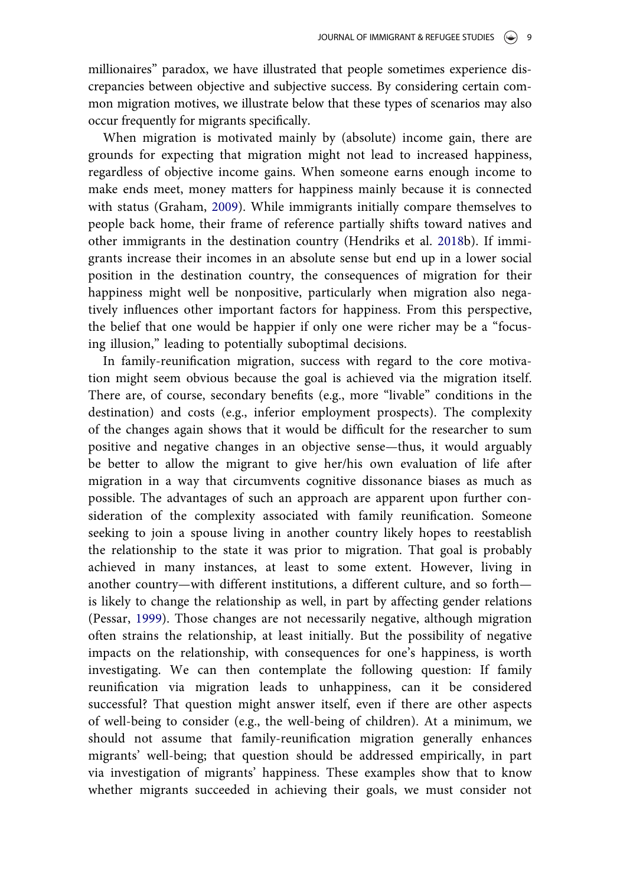millionaires" paradox, we have illustrated that people sometimes experience discrepancies between objective and subjective success. By considering certain common migration motives, we illustrate below that these types of scenarios may also occur frequently for migrants specifically.

<span id="page-9-0"></span>When migration is motivated mainly by (absolute) income gain, there are grounds for expecting that migration might not lead to increased happiness, regardless of objective income gains. When someone earns enough income to make ends meet, money matters for happiness mainly because it is connected with status (Graham, [2009](#page-19-11)). While immigrants initially compare themselves to people back home, their frame of reference partially shifts toward natives and other immigrants in the destination country (Hendriks et al. [2018](#page-19-16)b). If immigrants increase their incomes in an absolute sense but end up in a lower social position in the destination country, the consequences of migration for their happiness might well be nonpositive, particularly when migration also negatively influences other important factors for happiness. From this perspective, the belief that one would be happier if only one were richer may be a "focusing illusion," leading to potentially suboptimal decisions.

In family-reunification migration, success with regard to the core motivation might seem obvious because the goal is achieved via the migration itself. There are, of course, secondary benefits (e.g., more "livable" conditions in the destination) and costs (e.g., inferior employment prospects). The complexity of the changes again shows that it would be difficult for the researcher to sum positive and negative changes in an objective sense—thus, it would arguably be better to allow the migrant to give her/his own evaluation of life after migration in a way that circumvents cognitive dissonance biases as much as possible. The advantages of such an approach are apparent upon further consideration of the complexity associated with family reunification. Someone seeking to join a spouse living in another country likely hopes to reestablish the relationship to the state it was prior to migration. That goal is probably achieved in many instances, at least to some extent. However, living in another country—with different institutions, a different culture, and so forth is likely to change the relationship as well, in part by affecting gender relations (Pessar, [1999\)](#page-19-3). Those changes are not necessarily negative, although migration often strains the relationship, at least initially. But the possibility of negative impacts on the relationship, with consequences for one's happiness, is worth investigating. We can then contemplate the following question: If family reunification via migration leads to unhappiness, can it be considered successful? That question might answer itself, even if there are other aspects of well-being to consider (e.g., the well-being of children). At a minimum, we should not assume that family-reunification migration generally enhances migrants' well-being; that question should be addressed empirically, in part via investigation of migrants' happiness. These examples show that to know whether migrants succeeded in achieving their goals, we must consider not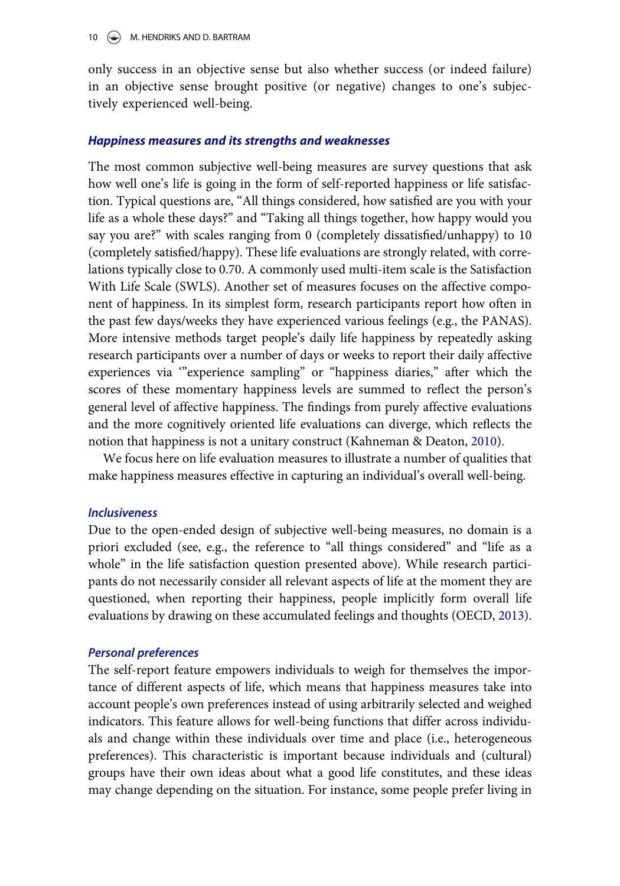only success in an objective sense but also whether success (or indeed failure) in an objective sense brought positive (or negative) changes to one's subjectively experienced well-being.

## Happiness measures and its strengths and weaknesses

The most common subjective well-being measures are survey questions that ask how well one's life is going in the form of self-reported happiness or life satisfaction. Typical questions are, "All things considered, how satisfied are you with your life as a whole these days?" and "Taking all things together, how happy would you say you are?" with scales ranging from 0 (completely dissatisfied/unhappy) to 10 (completely satisfied/happy). These life evaluations are strongly related, with correlations typically close to 0.70. A commonly used multi-item scale is the Satisfaction With Life Scale (SWLS). Another set of measures focuses on the affective component of happiness. In its simplest form, research participants report how often in the past few days/weeks they have experienced various feelings (e.g., the PANAS). More intensive methods target people's daily life happiness by repeatedly asking research participants over a number of days or weeks to report their daily affective experiences via '"experience sampling" or "happiness diaries," after which the scores of these momentary happiness levels are summed to reflect the person's general level of affective happiness. The findings from purely affective evaluations and the more cognitively oriented life evaluations can diverge, which reflects the notion that happiness is not a unitary construct (Kahneman & Deaton, [2010\)](#page-19-17).

<span id="page-10-0"></span>We focus here on life evaluation measures to illustrate a number of qualities that make happiness measures effective in capturing an individual's overall well-being.

## Inclusiveness

Due to the open-ended design of subjective well-being measures, no domain is a priori excluded (see, e.g., the reference to "all things considered" and "life as a whole" in the life satisfaction question presented above). While research participants do not necessarily consider all relevant aspects of life at the moment they are questioned, when reporting their happiness, people implicitly form overall life evaluations by drawing on these accumulated feelings and thoughts (OECD, [2013](#page-19-12)).

## Personal preferences

The self-report feature empowers individuals to weigh for themselves the importance of different aspects of life, which means that happiness measures take into account people's own preferences instead of using arbitrarily selected and weighed indicators. This feature allows for well-being functions that differ across individuals and change within these individuals over time and place (i.e., heterogeneous preferences). This characteristic is important because individuals and (cultural) groups have their own ideas about what a good life constitutes, and these ideas may change depending on the situation. For instance, some people prefer living in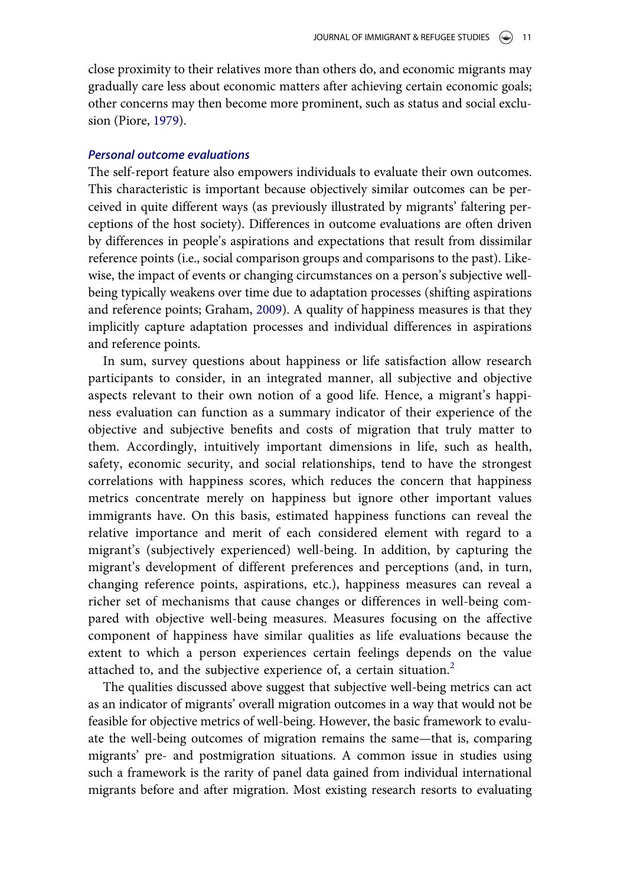close proximity to their relatives more than others do, and economic migrants may gradually care less about economic matters after achieving certain economic goals; other concerns may then become more prominent, such as status and social exclusion (Piore, [1979](#page-19-10)).

## Personal outcome evaluations

The self-report feature also empowers individuals to evaluate their own outcomes. This characteristic is important because objectively similar outcomes can be perceived in quite different ways (as previously illustrated by migrants' faltering perceptions of the host society). Differences in outcome evaluations are often driven by differences in people's aspirations and expectations that result from dissimilar reference points (i.e., social comparison groups and comparisons to the past). Likewise, the impact of events or changing circumstances on a person's subjective wellbeing typically weakens over time due to adaptation processes (shifting aspirations and reference points; Graham, [2009](#page-19-11)). A quality of happiness measures is that they implicitly capture adaptation processes and individual differences in aspirations and reference points.

In sum, survey questions about happiness or life satisfaction allow research participants to consider, in an integrated manner, all subjective and objective aspects relevant to their own notion of a good life. Hence, a migrant's happiness evaluation can function as a summary indicator of their experience of the objective and subjective benefits and costs of migration that truly matter to them. Accordingly, intuitively important dimensions in life, such as health, safety, economic security, and social relationships, tend to have the strongest correlations with happiness scores, which reduces the concern that happiness metrics concentrate merely on happiness but ignore other important values immigrants have. On this basis, estimated happiness functions can reveal the relative importance and merit of each considered element with regard to a migrant's (subjectively experienced) well-being. In addition, by capturing the migrant's development of different preferences and perceptions (and, in turn, changing reference points, aspirations, etc.), happiness measures can reveal a richer set of mechanisms that cause changes or differences in well-being compared with objective well-being measures. Measures focusing on the affective component of happiness have similar qualities as life evaluations because the extent to which a person experiences certain feelings depends on the value attached to, and the subjective experience of, a certain situation.<sup>[2](#page-18-7)</sup>

The qualities discussed above suggest that subjective well-being metrics can act as an indicator of migrants' overall migration outcomes in a way that would not be feasible for objective metrics of well-being. However, the basic framework to evaluate the well-being outcomes of migration remains the same—that is, comparing migrants' pre- and postmigration situations. A common issue in studies using such a framework is the rarity of panel data gained from individual international migrants before and after migration. Most existing research resorts to evaluating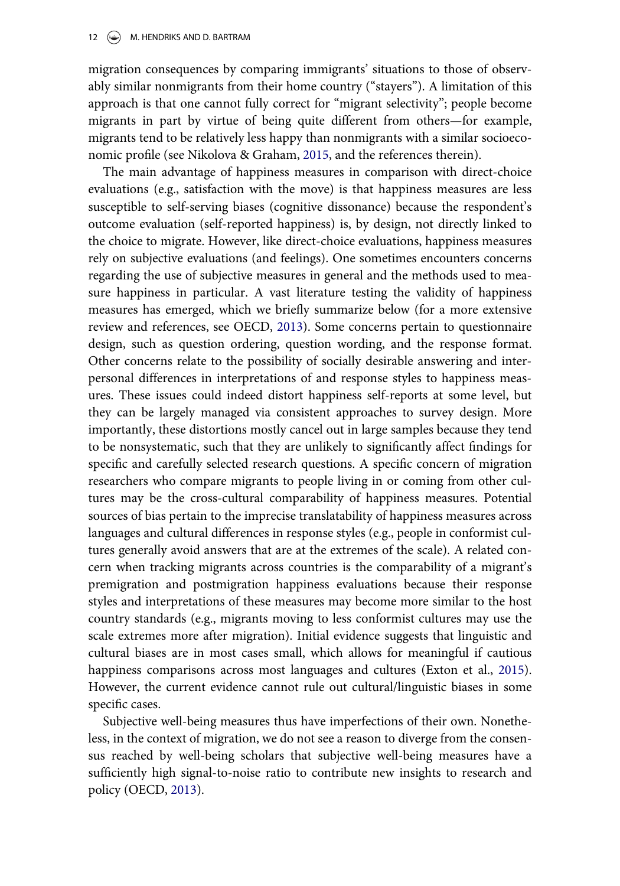migration consequences by comparing immigrants' situations to those of observably similar nonmigrants from their home country ("stayers"). A limitation of this approach is that one cannot fully correct for "migrant selectivity"; people become migrants in part by virtue of being quite different from others—for example, migrants tend to be relatively less happy than nonmigrants with a similar socioeconomic profile (see Nikolova & Graham, [2015](#page-19-2), and the references therein).

The main advantage of happiness measures in comparison with direct-choice evaluations (e.g., satisfaction with the move) is that happiness measures are less susceptible to self-serving biases (cognitive dissonance) because the respondent's outcome evaluation (self-reported happiness) is, by design, not directly linked to the choice to migrate. However, like direct-choice evaluations, happiness measures rely on subjective evaluations (and feelings). One sometimes encounters concerns regarding the use of subjective measures in general and the methods used to measure happiness in particular. A vast literature testing the validity of happiness measures has emerged, which we briefly summarize below (for a more extensive review and references, see OECD, [2013](#page-19-12)). Some concerns pertain to questionnaire design, such as question ordering, question wording, and the response format. Other concerns relate to the possibility of socially desirable answering and interpersonal differences in interpretations of and response styles to happiness measures. These issues could indeed distort happiness self-reports at some level, but they can be largely managed via consistent approaches to survey design. More importantly, these distortions mostly cancel out in large samples because they tend to be nonsystematic, such that they are unlikely to significantly affect findings for specific and carefully selected research questions. A specific concern of migration researchers who compare migrants to people living in or coming from other cultures may be the cross-cultural comparability of happiness measures. Potential sources of bias pertain to the imprecise translatability of happiness measures across languages and cultural differences in response styles (e.g., people in conformist cultures generally avoid answers that are at the extremes of the scale). A related concern when tracking migrants across countries is the comparability of a migrant's premigration and postmigration happiness evaluations because their response styles and interpretations of these measures may become more similar to the host country standards (e.g., migrants moving to less conformist cultures may use the scale extremes more after migration). Initial evidence suggests that linguistic and cultural biases are in most cases small, which allows for meaningful if cautious happiness comparisons across most languages and cultures (Exton et al., [2015](#page-19-13)). However, the current evidence cannot rule out cultural/linguistic biases in some specific cases.

Subjective well-being measures thus have imperfections of their own. Nonetheless, in the context of migration, we do not see a reason to diverge from the consensus reached by well-being scholars that subjective well-being measures have a sufficiently high signal-to-noise ratio to contribute new insights to research and policy (OECD, [2013\)](#page-19-12).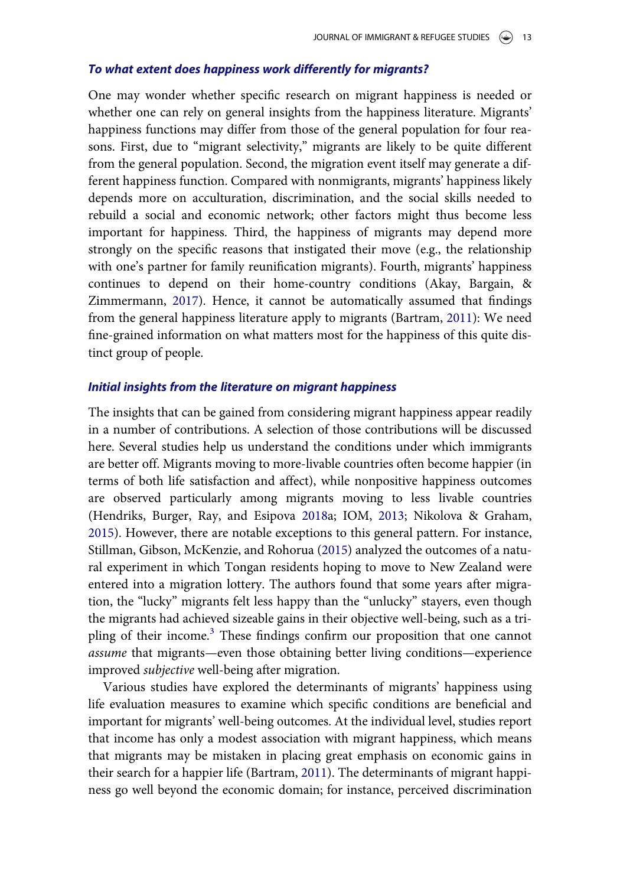## To what extent does happiness work differently for migrants?

One may wonder whether specific research on migrant happiness is needed or whether one can rely on general insights from the happiness literature. Migrants' happiness functions may differ from those of the general population for four reasons. First, due to "migrant selectivity," migrants are likely to be quite different from the general population. Second, the migration event itself may generate a different happiness function. Compared with nonmigrants, migrants' happiness likely depends more on acculturation, discrimination, and the social skills needed to rebuild a social and economic network; other factors might thus become less important for happiness. Third, the happiness of migrants may depend more strongly on the specific reasons that instigated their move (e.g., the relationship with one's partner for family reunification migrants). Fourth, migrants' happiness continues to depend on their home-country conditions (Akay, Bargain, & Zimmermann, [2017](#page-18-8)). Hence, it cannot be automatically assumed that findings from the general happiness literature apply to migrants (Bartram, [2011](#page-18-9)): We need fine-grained information on what matters most for the happiness of this quite distinct group of people.

#### <span id="page-13-0"></span>Initial insights from the literature on migrant happiness

<span id="page-13-2"></span>The insights that can be gained from considering migrant happiness appear readily in a number of contributions. A selection of those contributions will be discussed here. Several studies help us understand the conditions under which immigrants are better off. Migrants moving to more-livable countries often become happier (in terms of both life satisfaction and affect), while nonpositive happiness outcomes are observed particularly among migrants moving to less livable countries (Hendriks, Burger, Ray, and Esipova [2018](#page-19-16)a; IOM, [2013;](#page-19-0) Nikolova & Graham, [2015\)](#page-19-2). However, there are notable exceptions to this general pattern. For instance, Stillman, Gibson, McKenzie, and Rohorua ([2015\)](#page-20-4) analyzed the outcomes of a natural experiment in which Tongan residents hoping to move to New Zealand were entered into a migration lottery. The authors found that some years after migration, the "lucky" migrants felt less happy than the "unlucky" stayers, even though the migrants had achieved sizeable gains in their objective well-being, such as a tri-pling of their income.<sup>[3](#page-18-10)</sup> These findings confirm our proposition that one cannot assume that migrants—even those obtaining better living conditions—experience improved subjective well-being after migration.

<span id="page-13-1"></span>Various studies have explored the determinants of migrants' happiness using life evaluation measures to examine which specific conditions are beneficial and important for migrants' well-being outcomes. At the individual level, studies report that income has only a modest association with migrant happiness, which means that migrants may be mistaken in placing great emphasis on economic gains in their search for a happier life (Bartram, [2011\)](#page-18-9). The determinants of migrant happiness go well beyond the economic domain; for instance, perceived discrimination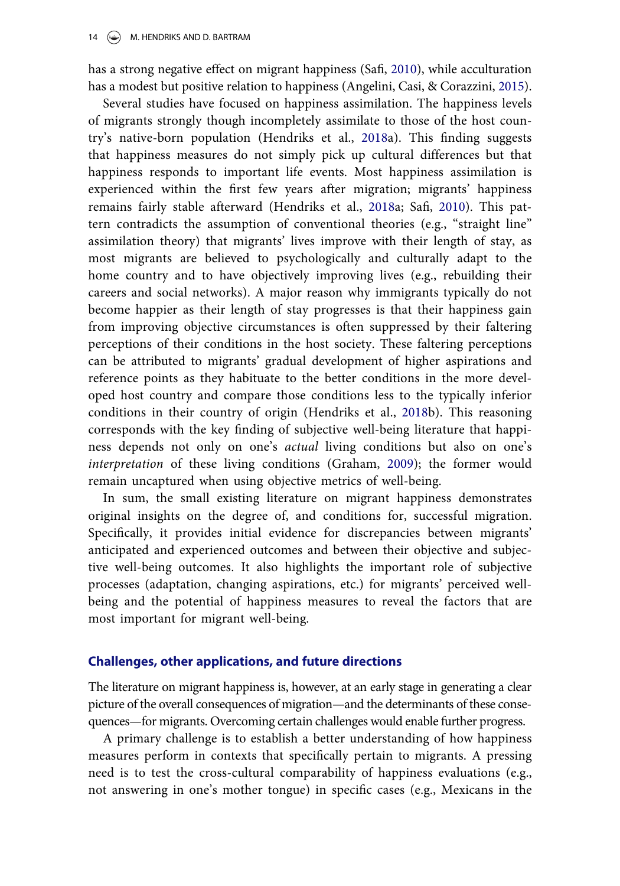<span id="page-14-0"></span>has a strong negative effect on migrant happiness (Safi, [2010\)](#page-19-18), while acculturation has a modest but positive relation to happiness (Angelini, Casi, & Corazzini, [2015](#page-18-11)).

<span id="page-14-1"></span>Several studies have focused on happiness assimilation. The happiness levels of migrants strongly though incompletely assimilate to those of the host country's native-born population (Hendriks et al., [2018](#page-19-16)a). This finding suggests that happiness measures do not simply pick up cultural differences but that happiness responds to important life events. Most happiness assimilation is experienced within the first few years after migration; migrants' happiness remains fairly stable afterward (Hendriks et al., [2018a](#page-19-16); Safi, [2010](#page-19-18)). This pattern contradicts the assumption of conventional theories (e.g., "straight line" assimilation theory) that migrants' lives improve with their length of stay, as most migrants are believed to psychologically and culturally adapt to the home country and to have objectively improving lives (e.g., rebuilding their careers and social networks). A major reason why immigrants typically do not become happier as their length of stay progresses is that their happiness gain from improving objective circumstances is often suppressed by their faltering perceptions of their conditions in the host society. These faltering perceptions can be attributed to migrants' gradual development of higher aspirations and reference points as they habituate to the better conditions in the more developed host country and compare those conditions less to the typically inferior conditions in their country of origin (Hendriks et al., [2018](#page-19-16)b). This reasoning corresponds with the key finding of subjective well-being literature that happiness depends not only on one's actual living conditions but also on one's interpretation of these living conditions (Graham, [2009](#page-19-11)); the former would remain uncaptured when using objective metrics of well-being.

In sum, the small existing literature on migrant happiness demonstrates original insights on the degree of, and conditions for, successful migration. Specifically, it provides initial evidence for discrepancies between migrants' anticipated and experienced outcomes and between their objective and subjective well-being outcomes. It also highlights the important role of subjective processes (adaptation, changing aspirations, etc.) for migrants' perceived wellbeing and the potential of happiness measures to reveal the factors that are most important for migrant well-being.

#### Challenges, other applications, and future directions

The literature on migrant happiness is, however, at an early stage in generating a clear picture of the overall consequences of migration—and the determinants of these consequences—for migrants. Overcoming certain challenges would enable further progress.

A primary challenge is to establish a better understanding of how happiness measures perform in contexts that specifically pertain to migrants. A pressing need is to test the cross-cultural comparability of happiness evaluations (e.g., not answering in one's mother tongue) in specific cases (e.g., Mexicans in the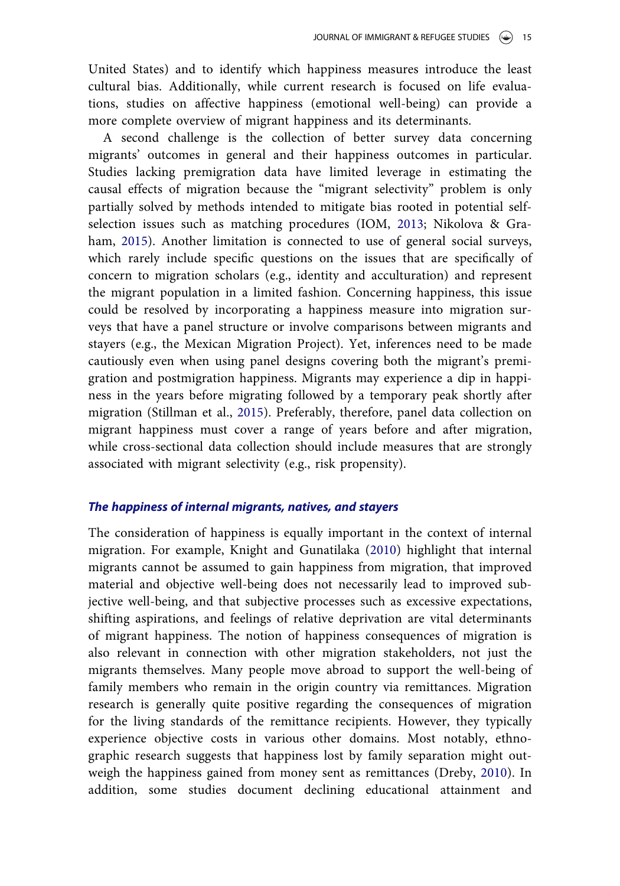United States) and to identify which happiness measures introduce the least cultural bias. Additionally, while current research is focused on life evaluations, studies on affective happiness (emotional well-being) can provide a more complete overview of migrant happiness and its determinants.

A second challenge is the collection of better survey data concerning migrants' outcomes in general and their happiness outcomes in particular. Studies lacking premigration data have limited leverage in estimating the causal effects of migration because the "migrant selectivity" problem is only partially solved by methods intended to mitigate bias rooted in potential selfselection issues such as matching procedures (IOM, [2013](#page-19-0); Nikolova & Graham, [2015](#page-19-2)). Another limitation is connected to use of general social surveys, which rarely include specific questions on the issues that are specifically of concern to migration scholars (e.g., identity and acculturation) and represent the migrant population in a limited fashion. Concerning happiness, this issue could be resolved by incorporating a happiness measure into migration surveys that have a panel structure or involve comparisons between migrants and stayers (e.g., the Mexican Migration Project). Yet, inferences need to be made cautiously even when using panel designs covering both the migrant's premigration and postmigration happiness. Migrants may experience a dip in happiness in the years before migrating followed by a temporary peak shortly after migration (Stillman et al., [2015](#page-20-4)). Preferably, therefore, panel data collection on migrant happiness must cover a range of years before and after migration, while cross-sectional data collection should include measures that are strongly associated with migrant selectivity (e.g., risk propensity).

## The happiness of internal migrants, natives, and stayers

<span id="page-15-0"></span>The consideration of happiness is equally important in the context of internal migration. For example, Knight and Gunatilaka ([2010](#page-19-19)) highlight that internal migrants cannot be assumed to gain happiness from migration, that improved material and objective well-being does not necessarily lead to improved subjective well-being, and that subjective processes such as excessive expectations, shifting aspirations, and feelings of relative deprivation are vital determinants of migrant happiness. The notion of happiness consequences of migration is also relevant in connection with other migration stakeholders, not just the migrants themselves. Many people move abroad to support the well-being of family members who remain in the origin country via remittances. Migration research is generally quite positive regarding the consequences of migration for the living standards of the remittance recipients. However, they typically experience objective costs in various other domains. Most notably, ethnographic research suggests that happiness lost by family separation might outweigh the happiness gained from money sent as remittances (Dreby, [2010](#page-19-8)). In addition, some studies document declining educational attainment and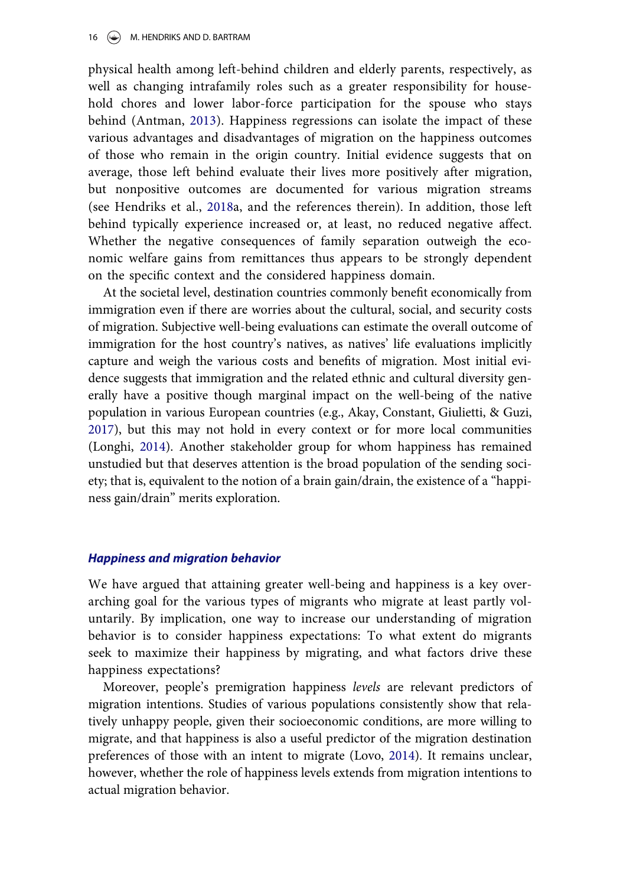#### 16  $\left(\bigstar\right)$  M. HENDRIKS AND D. BARTRAM

<span id="page-16-1"></span>physical health among left-behind children and elderly parents, respectively, as well as changing intrafamily roles such as a greater responsibility for household chores and lower labor-force participation for the spouse who stays behind (Antman, [2013\)](#page-18-12). Happiness regressions can isolate the impact of these various advantages and disadvantages of migration on the happiness outcomes of those who remain in the origin country. Initial evidence suggests that on average, those left behind evaluate their lives more positively after migration, but nonpositive outcomes are documented for various migration streams (see Hendriks et al., [2018a](#page-19-16), and the references therein). In addition, those left behind typically experience increased or, at least, no reduced negative affect. Whether the negative consequences of family separation outweigh the economic welfare gains from remittances thus appears to be strongly dependent on the specific context and the considered happiness domain.

<span id="page-16-0"></span>At the societal level, destination countries commonly benefit economically from immigration even if there are worries about the cultural, social, and security costs of migration. Subjective well-being evaluations can estimate the overall outcome of immigration for the host country's natives, as natives' life evaluations implicitly capture and weigh the various costs and benefits of migration. Most initial evidence suggests that immigration and the related ethnic and cultural diversity generally have a positive though marginal impact on the well-being of the native population in various European countries (e.g., Akay, Constant, Giulietti, & Guzi, [2017\)](#page-18-13), but this may not hold in every context or for more local communities (Longhi, [2014\)](#page-19-20). Another stakeholder group for whom happiness has remained unstudied but that deserves attention is the broad population of the sending society; that is, equivalent to the notion of a brain gain/drain, the existence of a "happiness gain/drain" merits exploration.

#### <span id="page-16-2"></span>Happiness and migration behavior

We have argued that attaining greater well-being and happiness is a key overarching goal for the various types of migrants who migrate at least partly voluntarily. By implication, one way to increase our understanding of migration behavior is to consider happiness expectations: To what extent do migrants seek to maximize their happiness by migrating, and what factors drive these happiness expectations?

<span id="page-16-3"></span>Moreover, people's premigration happiness levels are relevant predictors of migration intentions. Studies of various populations consistently show that relatively unhappy people, given their socioeconomic conditions, are more willing to migrate, and that happiness is also a useful predictor of the migration destination preferences of those with an intent to migrate (Lovo, [2014](#page-19-21)). It remains unclear, however, whether the role of happiness levels extends from migration intentions to actual migration behavior.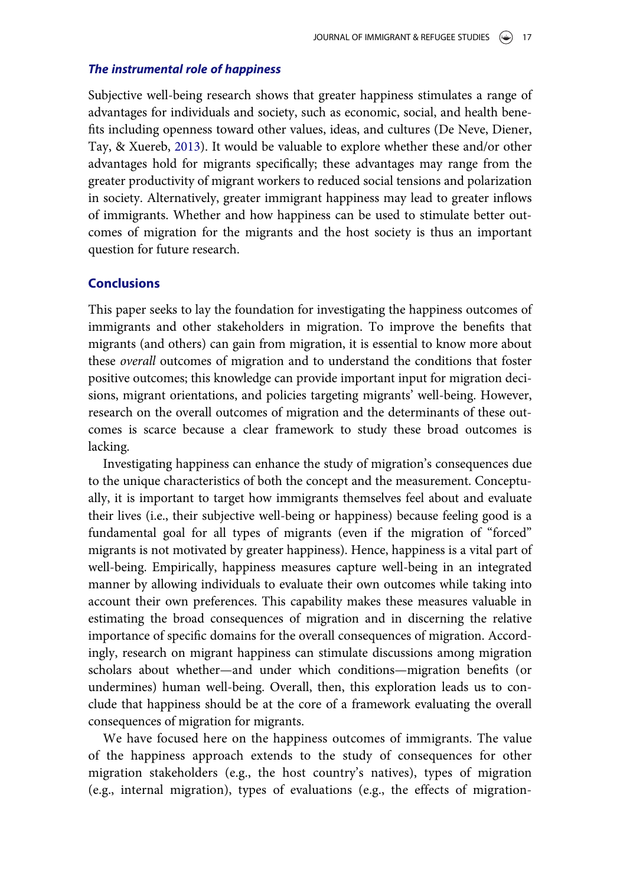#### The instrumental role of happiness

<span id="page-17-0"></span>Subjective well-being research shows that greater happiness stimulates a range of advantages for individuals and society, such as economic, social, and health benefits including openness toward other values, ideas, and cultures (De Neve, Diener, Tay, & Xuereb, [2013\)](#page-18-14). It would be valuable to explore whether these and/or other advantages hold for migrants specifically; these advantages may range from the greater productivity of migrant workers to reduced social tensions and polarization in society. Alternatively, greater immigrant happiness may lead to greater inflows of immigrants. Whether and how happiness can be used to stimulate better outcomes of migration for the migrants and the host society is thus an important question for future research.

## **Conclusions**

This paper seeks to lay the foundation for investigating the happiness outcomes of immigrants and other stakeholders in migration. To improve the benefits that migrants (and others) can gain from migration, it is essential to know more about these overall outcomes of migration and to understand the conditions that foster positive outcomes; this knowledge can provide important input for migration decisions, migrant orientations, and policies targeting migrants' well-being. However, research on the overall outcomes of migration and the determinants of these outcomes is scarce because a clear framework to study these broad outcomes is lacking.

Investigating happiness can enhance the study of migration's consequences due to the unique characteristics of both the concept and the measurement. Conceptually, it is important to target how immigrants themselves feel about and evaluate their lives (i.e., their subjective well-being or happiness) because feeling good is a fundamental goal for all types of migrants (even if the migration of "forced" migrants is not motivated by greater happiness). Hence, happiness is a vital part of well-being. Empirically, happiness measures capture well-being in an integrated manner by allowing individuals to evaluate their own outcomes while taking into account their own preferences. This capability makes these measures valuable in estimating the broad consequences of migration and in discerning the relative importance of specific domains for the overall consequences of migration. Accordingly, research on migrant happiness can stimulate discussions among migration scholars about whether—and under which conditions—migration benefits (or undermines) human well-being. Overall, then, this exploration leads us to conclude that happiness should be at the core of a framework evaluating the overall consequences of migration for migrants.

We have focused here on the happiness outcomes of immigrants. The value of the happiness approach extends to the study of consequences for other migration stakeholders (e.g., the host country's natives), types of migration (e.g., internal migration), types of evaluations (e.g., the effects of migration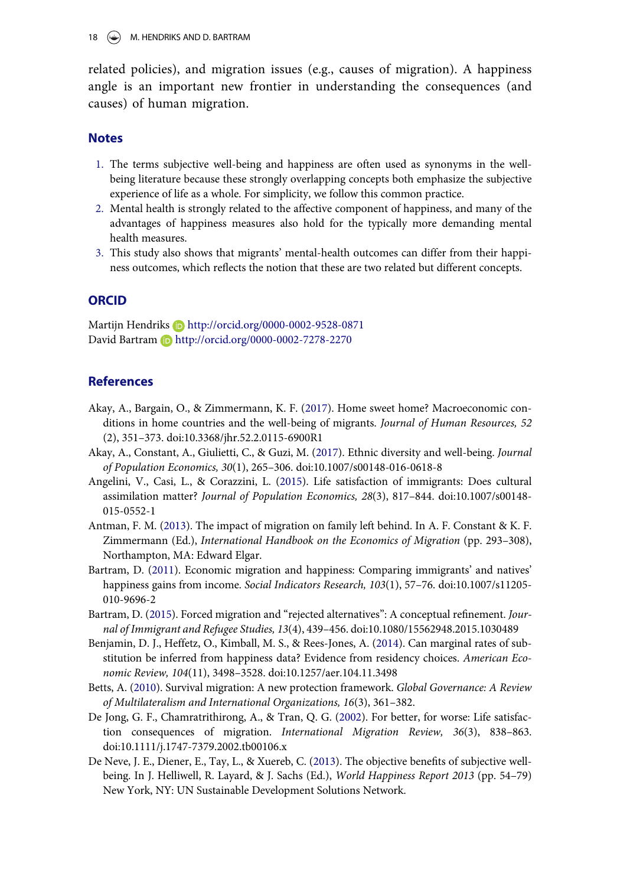related policies), and migration issues (e.g., causes of migration). A happiness angle is an important new frontier in understanding the consequences (and causes) of human migration.

## <span id="page-18-2"></span>**Notes**

- 1. The terms subjective well-being and happiness are often used as synonyms in the wellbeing literature because these strongly overlapping concepts both emphasize the subjective experience of life as a whole. For simplicity, we follow this common practice.
- <span id="page-18-7"></span>2. Mental health is strongly related to the affective component of happiness, and many of the advantages of happiness measures also hold for the typically more demanding mental health measures.
- <span id="page-18-10"></span>3. This study also shows that migrants' mental-health outcomes can differ from their happiness outcomes, which reflects the notion that these are two related but different concepts.

## **ORCID**

<span id="page-18-1"></span><span id="page-18-0"></span>Martijn Hendriks D <http://orcid.org/0000-0002-9528-0871> David Bartram D <http://orcid.org/0000-0002-7278-2270>

## **References**

- <span id="page-18-8"></span>Akay, A., Bargain, O., & Zimmermann, K. F. [\(2017](#page-13-0)). Home sweet home? Macroeconomic conditions in home countries and the well-being of migrants. Journal of Human Resources, 52 (2), 351–373. doi:[10.3368/jhr.52.2.0115-6900R1](https://doi.org/10.3368/jhr.52.2.0115-6900R1)
- <span id="page-18-13"></span>Akay, A., Constant, A., Giulietti, C., & Guzi, M. ([2017\)](#page-16-0). Ethnic diversity and well-being. Journal of Population Economics, 30(1), 265–306. doi:[10.1007/s00148-016-0618-8](https://doi.org/10.1007/s00148-016-0618-8)
- <span id="page-18-11"></span>Angelini, V., Casi, L., & Corazzini, L. [\(2015\)](#page-14-0). Life satisfaction of immigrants: Does cultural assimilation matter? Journal of Population Economics, 28(3), 817–844. doi[:10.1007/s00148-](https://doi.org/10.1007/s00148-015-0552-1) [015-0552-1](https://doi.org/10.1007/s00148-015-0552-1)
- <span id="page-18-12"></span>Antman, F. M. [\(2013](#page-16-1)). The impact of migration on family left behind. In A. F. Constant & K. F. Zimmermann (Ed.), International Handbook on the Economics of Migration (pp. 293–308), Northampton, MA: Edward Elgar.
- <span id="page-18-9"></span>Bartram, D. ([2011\)](#page-13-1). Economic migration and happiness: Comparing immigrants' and natives' happiness gains from income. Social Indicators Research, 103(1), 57-76. doi[:10.1007/s11205-](https://doi.org/10.1007/s11205-010-9696-2) [010-9696-2](https://doi.org/10.1007/s11205-010-9696-2)
- <span id="page-18-6"></span>Bartram, D. [\(2015\)](#page-7-0). Forced migration and "rejected alternatives": A conceptual refinement. Journal of Immigrant and Refugee Studies, 13(4), 439–456. doi[:10.1080/15562948.2015.1030489](https://doi.org/10.1080/15562948.2015.1030489)
- <span id="page-18-4"></span>Benjamin, D. J., Heffetz, O., Kimball, M. S., & Rees-Jones, A. ([2014](#page-7-1)). Can marginal rates of substitution be inferred from happiness data? Evidence from residency choices. American Economic Review, 104(11), 3498–3528. doi[:10.1257/aer.104.11.3498](https://doi.org/10.1257/aer.104.11.3498)
- <span id="page-18-5"></span>Betts, A. ([2010\)](#page-7-2). Survival migration: A new protection framework. Global Governance: A Review of Multilateralism and International Organizations, 16(3), 361–382.
- <span id="page-18-3"></span>De Jong, G. F., Chamratrithirong, A., & Tran, Q. G. ([2002\)](#page-4-0). For better, for worse: Life satisfaction consequences of migration. International Migration Review, 36(3), 838–863. doi:[10.1111/j.1747-7379.2002.tb00106.x](https://doi.org/10.1111/j.1747-7379.2002.tb00106.x)
- <span id="page-18-14"></span>De Neve, J. E., Diener, E., Tay, L., & Xuereb, C. ([2013\)](#page-17-0). The objective benefits of subjective wellbeing. In J. Helliwell, R. Layard, & J. Sachs (Ed.), World Happiness Report 2013 (pp. 54–79) New York, NY: UN Sustainable Development Solutions Network.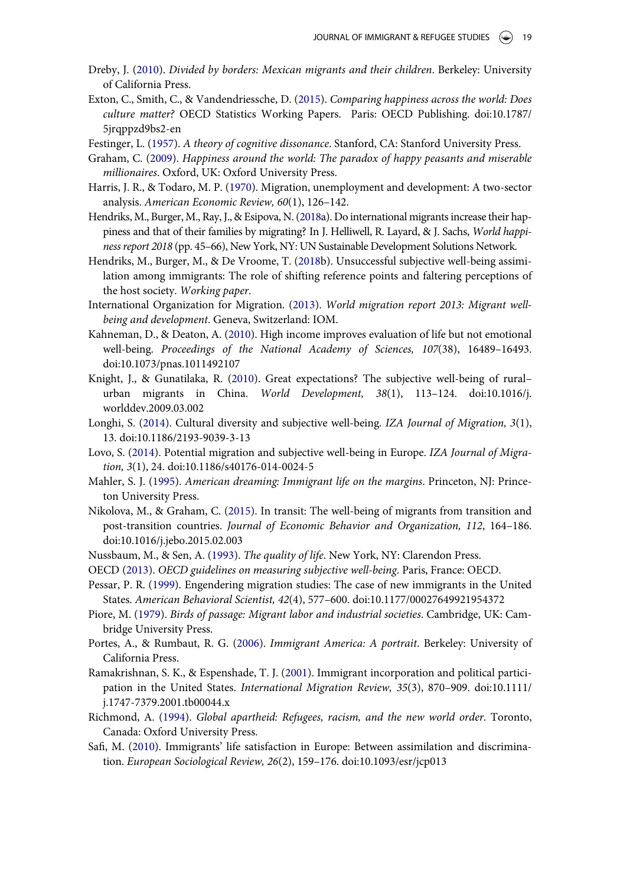- <span id="page-19-8"></span>Dreby, J. [\(2010](#page-4-1)). Divided by borders: Mexican migrants and their children. Berkeley: University of California Press.
- <span id="page-19-13"></span>Exton, C., Smith, C., & Vandendriessche, D. [\(2015\)](#page-7-3). Comparing happiness across the world: Does culture matter? OECD Statistics Working Papers. Paris: OECD Publishing. doi:[10.1787/](https://doi.org/10.1787/5jrqppzd9bs2-en) [5jrqppzd9bs2-en](https://doi.org/10.1787/5jrqppzd9bs2-en)
- <span id="page-19-9"></span>Festinger, L. [\(1957](#page-4-2)). A theory of cognitive dissonance. Stanford, CA: Stanford University Press.
- <span id="page-19-11"></span>Graham, C. ([2009](#page-5-0)). Happiness around the world: The paradox of happy peasants and miserable millionaires. Oxford, UK: Oxford University Press.
- <span id="page-19-1"></span>Harris, J. R., & Todaro, M. P. [\(1970\)](#page-3-0). Migration, unemployment and development: A two-sector analysis. American Economic Review, 60(1), 126–142.
- <span id="page-19-16"></span>Hendriks, M., Burger, M., Ray, J., & Esipova, N. ([2018a](#page-9-0)). Do international migrants increase their happiness and that of their families by migrating? In J. Helliwell, R. Layard, & J. Sachs, World happiness report 2018 (pp. 45–66), New York, NY: UN Sustainable Development Solutions Network.
- <span id="page-19-7"></span>Hendriks, M., Burger, M., & De Vroome, T. [\(2018b](#page-4-3)). Unsuccessful subjective well-being assimilation among immigrants: The role of shifting reference points and faltering perceptions of the host society. Working paper.
- <span id="page-19-0"></span>International Organization for Migration. [\(2013](#page-2-0)). World migration report 2013: Migrant wellbeing and development. Geneva, Switzerland: IOM.
- <span id="page-19-17"></span>Kahneman, D., & Deaton, A. ([2010\)](#page-10-0). High income improves evaluation of life but not emotional well-being. Proceedings of the National Academy of Sciences, 107(38), 16489–16493. doi:[10.1073/pnas.1011492107](https://doi.org/10.1073/pnas.1011492107)
- <span id="page-19-19"></span>Knight, J., & Gunatilaka, R. [\(2010](#page-15-0)). Great expectations? The subjective well-being of rural– urban migrants in China. World Development, 38(1), 113–124. doi[:10.1016/j.](https://doi.org/10.1016/j.worlddev.2009.03.002) [worlddev.2009.03.002](https://doi.org/10.1016/j.worlddev.2009.03.002)
- <span id="page-19-20"></span>Longhi, S. [\(2014](#page-16-2)). Cultural diversity and subjective well-being. IZA Journal of Migration, 3(1), 13. doi[:10.1186/2193-9039-3-13](https://doi.org/10.1186/2193-9039-3-13)
- <span id="page-19-21"></span>Lovo, S. [\(2014\)](#page-16-3). Potential migration and subjective well-being in Europe. IZA Journal of Migration, 3(1), 24. doi[:10.1186/s40176-014-0024-5](https://doi.org/10.1186/s40176-014-0024-5)
- <span id="page-19-4"></span>Mahler, S. J. [\(1995](#page-3-1)). American dreaming: Immigrant life on the margins. Princeton, NJ: Princeton University Press.
- <span id="page-19-2"></span>Nikolova, M., & Graham, C. ([2015\)](#page-3-2). In transit: The well-being of migrants from transition and post-transition countries. Journal of Economic Behavior and Organization, 112, 164–186. doi:[10.1016/j.jebo.2015.02.003](https://doi.org/10.1016/j.jebo.2015.02.003)
- <span id="page-19-14"></span>Nussbaum, M., & Sen, A. [\(1993](#page-7-4)). The quality of life. New York, NY: Clarendon Press.
- <span id="page-19-12"></span>OECD ([2013\)](#page-6-0). OECD guidelines on measuring subjective well-being. Paris, France: OECD.
- <span id="page-19-3"></span>Pessar, P. R. ([1999](#page-3-2)). Engendering migration studies: The case of new immigrants in the United States. American Behavioral Scientist, 42(4), 577–600. doi:[10.1177/00027649921954372](https://doi.org/10.1177/00027649921954372)
- <span id="page-19-10"></span>Piore, M. [\(1979](#page-5-1)). Birds of passage: Migrant labor and industrial societies. Cambridge, UK: Cambridge University Press.
- <span id="page-19-6"></span>Portes, A., & Rumbaut, R. G. ([2006\)](#page-3-3). Immigrant America: A portrait. Berkeley: University of California Press.
- <span id="page-19-5"></span>Ramakrishnan, S. K., & Espenshade, T. J. ([2001](#page-3-4)). Immigrant incorporation and political participation in the United States. International Migration Review, 35(3), 870–909. doi:[10.1111/](https://doi.org/10.1111/j.1747-7379.2001.tb00044.x) [j.1747-7379.2001.tb00044.x](https://doi.org/10.1111/j.1747-7379.2001.tb00044.x)
- <span id="page-19-15"></span>Richmond, A. [\(1994\)](#page-8-0). Global apartheid: Refugees, racism, and the new world order. Toronto, Canada: Oxford University Press.
- <span id="page-19-18"></span>Safi, M. ([2010\)](#page-14-1). Immigrants' life satisfaction in Europe: Between assimilation and discrimination. European Sociological Review, 26(2), 159–176. doi[:10.1093/esr/jcp013](https://doi.org/10.1093/esr/jcp013)